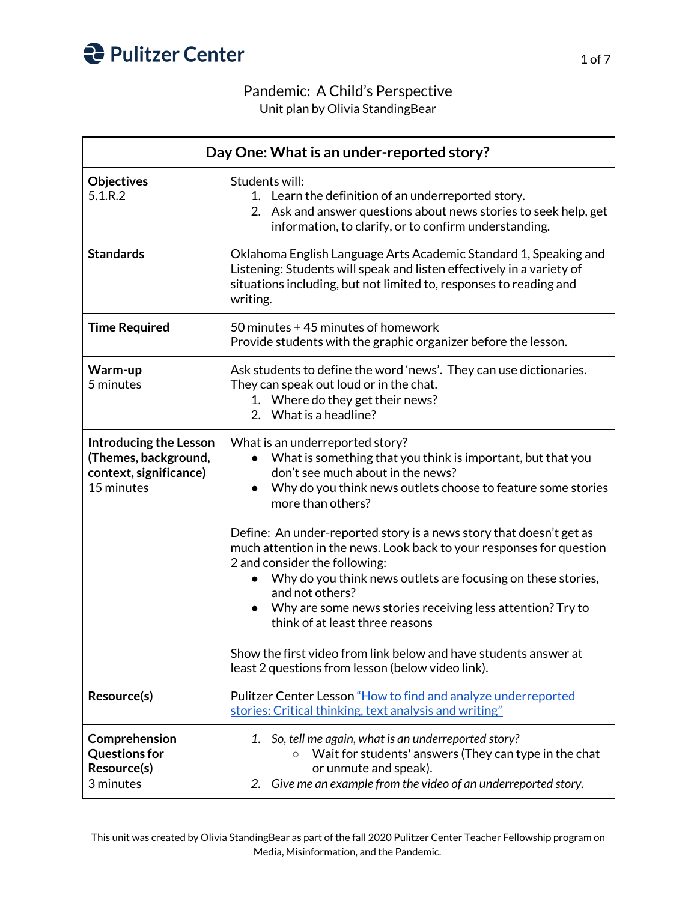

## Pandemic: A Child's Perspective

Unit plan by Olivia StandingBear

| Day One: What is an under-reported story?                                                     |                                                                                                                                                                                                                                                                                                                                                                               |
|-----------------------------------------------------------------------------------------------|-------------------------------------------------------------------------------------------------------------------------------------------------------------------------------------------------------------------------------------------------------------------------------------------------------------------------------------------------------------------------------|
| <b>Objectives</b><br>5.1.R.2                                                                  | Students will:<br>1. Learn the definition of an underreported story.<br>2. Ask and answer questions about news stories to seek help, get<br>information, to clarify, or to confirm understanding.                                                                                                                                                                             |
| <b>Standards</b>                                                                              | Oklahoma English Language Arts Academic Standard 1, Speaking and<br>Listening: Students will speak and listen effectively in a variety of<br>situations including, but not limited to, responses to reading and<br>writing.                                                                                                                                                   |
| <b>Time Required</b>                                                                          | 50 minutes +45 minutes of homework<br>Provide students with the graphic organizer before the lesson.                                                                                                                                                                                                                                                                          |
| Warm-up<br>5 minutes                                                                          | Ask students to define the word 'news'. They can use dictionaries.<br>They can speak out loud or in the chat.<br>1. Where do they get their news?<br>2. What is a headline?                                                                                                                                                                                                   |
| <b>Introducing the Lesson</b><br>(Themes, background,<br>context, significance)<br>15 minutes | What is an underreported story?<br>What is something that you think is important, but that you<br>don't see much about in the news?<br>Why do you think news outlets choose to feature some stories<br>more than others?                                                                                                                                                      |
|                                                                                               | Define: An under-reported story is a news story that doesn't get as<br>much attention in the news. Look back to your responses for question<br>2 and consider the following:<br>Why do you think news outlets are focusing on these stories,<br>$\bullet$<br>and not others?<br>Why are some news stories receiving less attention? Try to<br>think of at least three reasons |
|                                                                                               | Show the first video from link below and have students answer at<br>least 2 questions from lesson (below video link).                                                                                                                                                                                                                                                         |
| Resource(s)                                                                                   | Pulitzer Center Lesson "How to find and analyze underreported<br>stories: Critical thinking, text analysis and writing"                                                                                                                                                                                                                                                       |
| Comprehension<br><b>Questions for</b><br>Resource(s)<br>3 minutes                             | 1. So, tell me again, what is an underreported story?<br>Wait for students' answers (They can type in the chat<br>or unmute and speak).<br>Give me an example from the video of an underreported story.<br>2.                                                                                                                                                                 |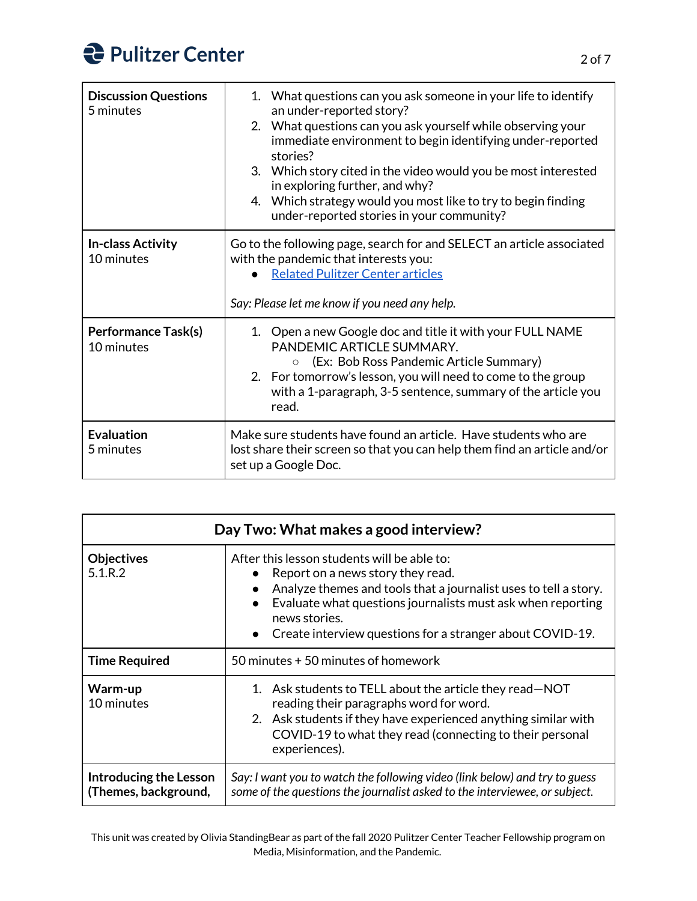| <b>Discussion Questions</b><br>5 minutes | 1. What questions can you ask someone in your life to identify<br>an under-reported story?<br>2. What questions can you ask yourself while observing your<br>immediate environment to begin identifying under-reported<br>stories?<br>3. Which story cited in the video would you be most interested<br>in exploring further, and why?<br>4. Which strategy would you most like to try to begin finding<br>under-reported stories in your community? |
|------------------------------------------|------------------------------------------------------------------------------------------------------------------------------------------------------------------------------------------------------------------------------------------------------------------------------------------------------------------------------------------------------------------------------------------------------------------------------------------------------|
| <b>In-class Activity</b><br>10 minutes   | Go to the following page, search for and SELECT an article associated<br>with the pandemic that interests you:<br><b>Related Pulitzer Center articles</b><br>Say: Please let me know if you need any help.                                                                                                                                                                                                                                           |
| <b>Performance Task(s)</b><br>10 minutes | Open a new Google doc and title it with your FULL NAME<br>1 <sup>1</sup><br>PANDEMIC ARTICLE SUMMARY.<br>(Ex: Bob Ross Pandemic Article Summary)<br>$\circ$<br>2. For tomorrow's lesson, you will need to come to the group<br>with a 1-paragraph, 3-5 sentence, summary of the article you<br>read.                                                                                                                                                 |
| <b>Evaluation</b><br>5 minutes           | Make sure students have found an article. Have students who are<br>lost share their screen so that you can help them find an article and/or<br>set up a Google Doc.                                                                                                                                                                                                                                                                                  |

| Day Two: What makes a good interview?          |                                                                                                                                                                                                                                                                                                                |
|------------------------------------------------|----------------------------------------------------------------------------------------------------------------------------------------------------------------------------------------------------------------------------------------------------------------------------------------------------------------|
| <b>Objectives</b><br>$5.1 \, R.2$              | After this lesson students will be able to:<br>Report on a news story they read.<br>Analyze themes and tools that a journalist uses to tell a story.<br>Evaluate what questions journalists must ask when reporting<br>news stories.<br>Create interview questions for a stranger about COVID-19.<br>$\bullet$ |
| <b>Time Required</b>                           | 50 minutes + 50 minutes of homework                                                                                                                                                                                                                                                                            |
| Warm-up<br>10 minutes                          | 1. Ask students to TELL about the article they read-NOT<br>reading their paragraphs word for word.<br>2. Ask students if they have experienced anything similar with<br>COVID-19 to what they read (connecting to their personal<br>experiences).                                                              |
| Introducing the Lesson<br>(Themes, background, | Say: I want you to watch the following video (link below) and try to guess<br>some of the questions the journalist asked to the interviewee, or subject.                                                                                                                                                       |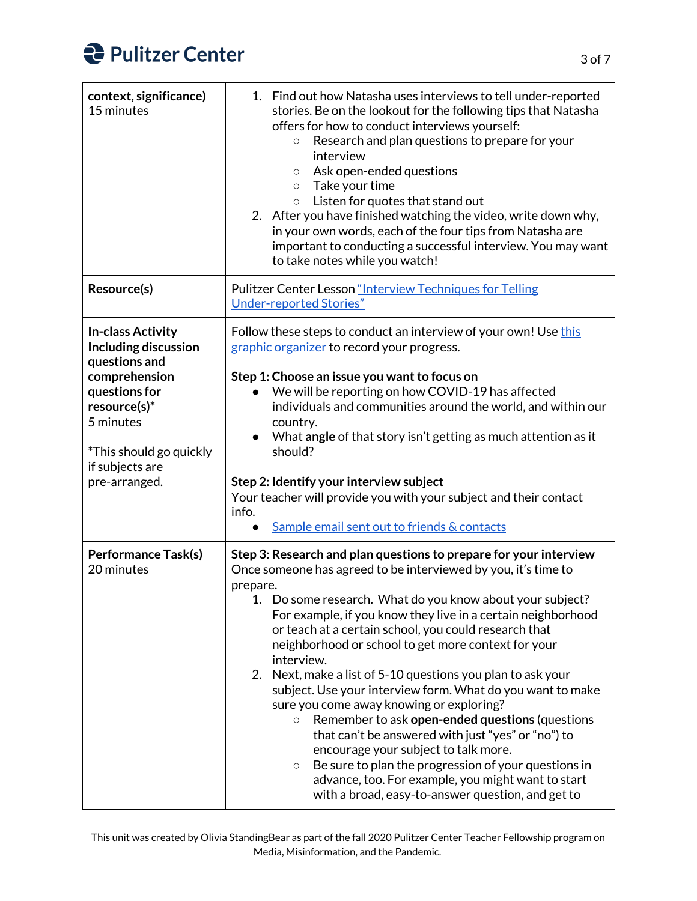| context, significance)<br>15 minutes                                                                                       | 1. Find out how Natasha uses interviews to tell under-reported<br>stories. Be on the lookout for the following tips that Natasha<br>offers for how to conduct interviews yourself:<br>Research and plan questions to prepare for your<br>$\bigcirc$<br>interview<br>Ask open-ended questions<br>$\circ$<br>Take your time<br>$\circ$<br>Listen for quotes that stand out<br>$\circ$<br>2. After you have finished watching the video, write down why,<br>in your own words, each of the four tips from Natasha are<br>important to conducting a successful interview. You may want<br>to take notes while you watch!                                                                                                                                                                                                                                                                                                             |
|----------------------------------------------------------------------------------------------------------------------------|----------------------------------------------------------------------------------------------------------------------------------------------------------------------------------------------------------------------------------------------------------------------------------------------------------------------------------------------------------------------------------------------------------------------------------------------------------------------------------------------------------------------------------------------------------------------------------------------------------------------------------------------------------------------------------------------------------------------------------------------------------------------------------------------------------------------------------------------------------------------------------------------------------------------------------|
| Resource(s)                                                                                                                | Pulitzer Center Lesson "Interview Techniques for Telling<br><b>Under-reported Stories"</b>                                                                                                                                                                                                                                                                                                                                                                                                                                                                                                                                                                                                                                                                                                                                                                                                                                       |
| <b>In-class Activity</b><br>Including discussion<br>questions and                                                          | Follow these steps to conduct an interview of your own! Use this<br>graphic organizer to record your progress.                                                                                                                                                                                                                                                                                                                                                                                                                                                                                                                                                                                                                                                                                                                                                                                                                   |
| comprehension<br>questions for<br>resource(s)*<br>5 minutes<br>*This should go quickly<br>if subjects are<br>pre-arranged. | Step 1: Choose an issue you want to focus on<br>We will be reporting on how COVID-19 has affected<br>individuals and communities around the world, and within our<br>country.<br>What angle of that story isn't getting as much attention as it<br>$\bullet$<br>should?<br>Step 2: Identify your interview subject<br>Your teacher will provide you with your subject and their contact                                                                                                                                                                                                                                                                                                                                                                                                                                                                                                                                          |
|                                                                                                                            | info.<br>Sample email sent out to friends & contacts<br>$\bullet$                                                                                                                                                                                                                                                                                                                                                                                                                                                                                                                                                                                                                                                                                                                                                                                                                                                                |
| <b>Performance Task(s)</b><br>20 minutes                                                                                   | Step 3: Research and plan questions to prepare for your interview<br>Once someone has agreed to be interviewed by you, it's time to<br>prepare.<br>Do some research. What do you know about your subject?<br>For example, if you know they live in a certain neighborhood<br>or teach at a certain school, you could research that<br>neighborhood or school to get more context for your<br>interview.<br>Next, make a list of 5-10 questions you plan to ask your<br>2.<br>subject. Use your interview form. What do you want to make<br>sure you come away knowing or exploring?<br>Remember to ask open-ended questions (questions<br>$\circ$<br>that can't be answered with just "yes" or "no") to<br>encourage your subject to talk more.<br>Be sure to plan the progression of your questions in<br>$\bigcirc$<br>advance, too. For example, you might want to start<br>with a broad, easy-to-answer question, and get to |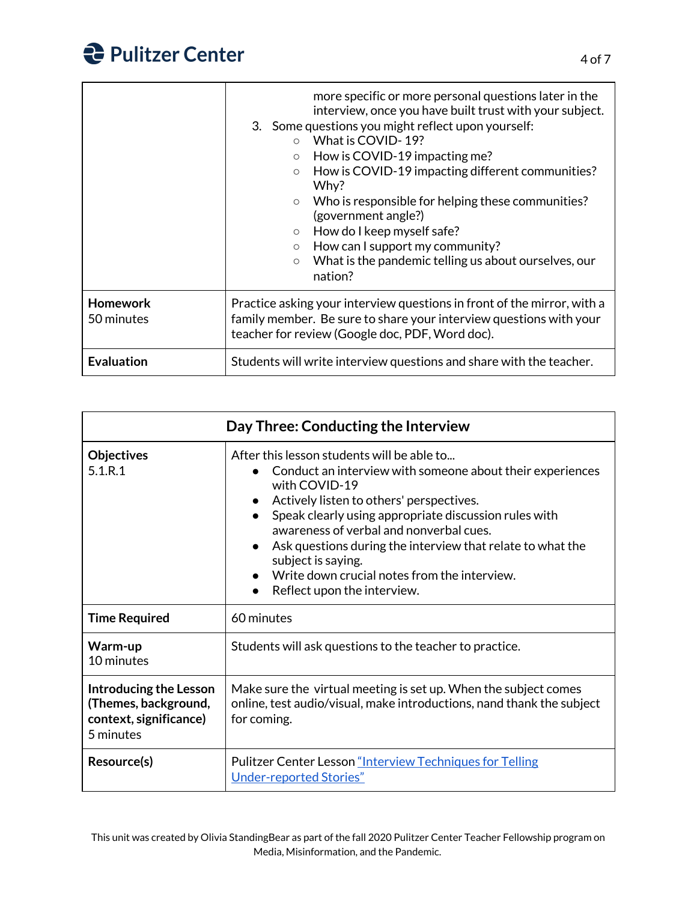|                               | more specific or more personal questions later in the<br>interview, once you have built trust with your subject.<br>3. Some questions you might reflect upon yourself:<br>What is COVID-19?<br>$\bigcirc$<br>How is COVID-19 impacting me?<br>$\circ$<br>How is COVID-19 impacting different communities?<br>$\circ$<br>Why?<br>Who is responsible for helping these communities?<br>$\circ$<br>(government angle?)<br>How do I keep myself safe?<br>$\circ$<br>How can I support my community?<br>$\circ$<br>What is the pandemic telling us about ourselves, our<br>$\circ$<br>nation? |
|-------------------------------|------------------------------------------------------------------------------------------------------------------------------------------------------------------------------------------------------------------------------------------------------------------------------------------------------------------------------------------------------------------------------------------------------------------------------------------------------------------------------------------------------------------------------------------------------------------------------------------|
| <b>Homework</b><br>50 minutes | Practice asking your interview questions in front of the mirror, with a<br>family member. Be sure to share your interview questions with your<br>teacher for review (Google doc, PDF, Word doc).                                                                                                                                                                                                                                                                                                                                                                                         |
| <b>Evaluation</b>             | Students will write interview questions and share with the teacher.                                                                                                                                                                                                                                                                                                                                                                                                                                                                                                                      |

| Day Three: Conducting the Interview                                                          |                                                                                                                                                                                                                                                                                                                                                                                                                                                          |
|----------------------------------------------------------------------------------------------|----------------------------------------------------------------------------------------------------------------------------------------------------------------------------------------------------------------------------------------------------------------------------------------------------------------------------------------------------------------------------------------------------------------------------------------------------------|
| <b>Objectives</b><br>5.1.R.1                                                                 | After this lesson students will be able to<br>Conduct an interview with someone about their experiences<br>with COVID-19<br>Actively listen to others' perspectives.<br>Speak clearly using appropriate discussion rules with<br>awareness of verbal and nonverbal cues.<br>Ask questions during the interview that relate to what the<br>subject is saying.<br>Write down crucial notes from the interview.<br>Reflect upon the interview.<br>$\bullet$ |
| <b>Time Required</b>                                                                         | 60 minutes                                                                                                                                                                                                                                                                                                                                                                                                                                               |
| Warm-up<br>10 minutes                                                                        | Students will ask questions to the teacher to practice.                                                                                                                                                                                                                                                                                                                                                                                                  |
| <b>Introducing the Lesson</b><br>(Themes, background,<br>context, significance)<br>5 minutes | Make sure the virtual meeting is set up. When the subject comes<br>online, test audio/visual, make introductions, nand thank the subject<br>for coming.                                                                                                                                                                                                                                                                                                  |
| Resource(s)                                                                                  | Pulitzer Center Lesson "Interview Techniques for Telling"<br><b>Under-reported Stories"</b>                                                                                                                                                                                                                                                                                                                                                              |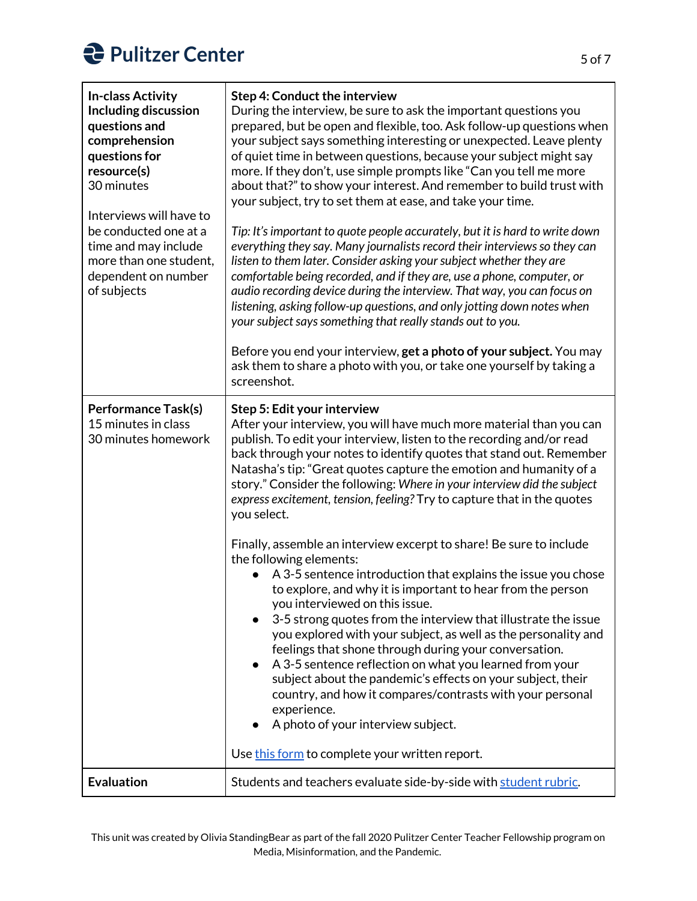## **Pulitzer Center**

| <b>In-class Activity</b><br>Including discussion<br>questions and<br>comprehension<br>questions for<br>resource(s)<br>30 minutes<br>Interviews will have to<br>be conducted one at a<br>time and may include<br>more than one student,<br>dependent on number<br>of subjects | <b>Step 4: Conduct the interview</b><br>During the interview, be sure to ask the important questions you<br>prepared, but be open and flexible, too. Ask follow-up questions when<br>your subject says something interesting or unexpected. Leave plenty<br>of quiet time in between questions, because your subject might say<br>more. If they don't, use simple prompts like "Can you tell me more<br>about that?" to show your interest. And remember to build trust with<br>your subject, try to set them at ease, and take your time.<br>Tip: It's important to quote people accurately, but it is hard to write down<br>everything they say. Many journalists record their interviews so they can<br>listen to them later. Consider asking your subject whether they are<br>comfortable being recorded, and if they are, use a phone, computer, or<br>audio recording device during the interview. That way, you can focus on<br>listening, asking follow-up questions, and only jotting down notes when<br>your subject says something that really stands out to you.<br>Before you end your interview, get a photo of your subject. You may<br>ask them to share a photo with you, or take one yourself by taking a<br>screenshot. |
|------------------------------------------------------------------------------------------------------------------------------------------------------------------------------------------------------------------------------------------------------------------------------|--------------------------------------------------------------------------------------------------------------------------------------------------------------------------------------------------------------------------------------------------------------------------------------------------------------------------------------------------------------------------------------------------------------------------------------------------------------------------------------------------------------------------------------------------------------------------------------------------------------------------------------------------------------------------------------------------------------------------------------------------------------------------------------------------------------------------------------------------------------------------------------------------------------------------------------------------------------------------------------------------------------------------------------------------------------------------------------------------------------------------------------------------------------------------------------------------------------------------------------------|
| <b>Performance Task(s)</b><br>15 minutes in class<br>30 minutes homework                                                                                                                                                                                                     | Step 5: Edit your interview<br>After your interview, you will have much more material than you can<br>publish. To edit your interview, listen to the recording and/or read<br>back through your notes to identify quotes that stand out. Remember<br>Natasha's tip: "Great quotes capture the emotion and humanity of a<br>story." Consider the following: Where in your interview did the subject<br>express excitement, tension, feeling? Try to capture that in the quotes<br>you select.                                                                                                                                                                                                                                                                                                                                                                                                                                                                                                                                                                                                                                                                                                                                               |
|                                                                                                                                                                                                                                                                              | Finally, assemble an interview excerpt to share! Be sure to include<br>the following elements:<br>A 3-5 sentence introduction that explains the issue you chose<br>to explore, and why it is important to hear from the person<br>you interviewed on this issue.<br>3-5 strong quotes from the interview that illustrate the issue<br>you explored with your subject, as well as the personality and<br>feelings that shone through during your conversation.<br>A 3-5 sentence reflection on what you learned from your<br>subject about the pandemic's effects on your subject, their<br>country, and how it compares/contrasts with your personal<br>experience.<br>A photo of your interview subject.<br>Use this form to complete your written report.                                                                                                                                                                                                                                                                                                                                                                                                                                                                                |
| <b>Evaluation</b>                                                                                                                                                                                                                                                            | Students and teachers evaluate side-by-side with student rubric.                                                                                                                                                                                                                                                                                                                                                                                                                                                                                                                                                                                                                                                                                                                                                                                                                                                                                                                                                                                                                                                                                                                                                                           |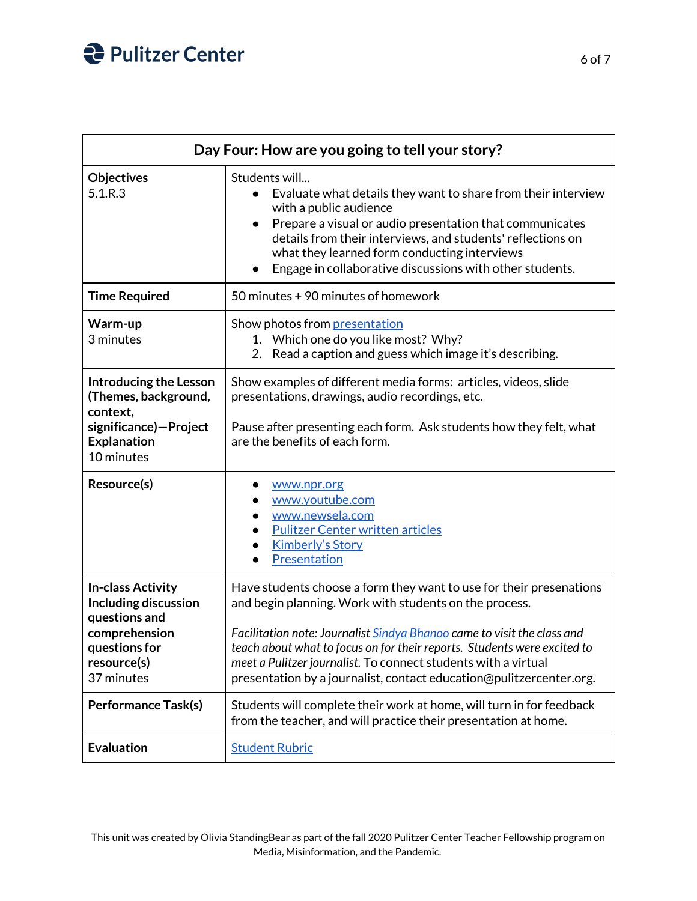## **Pulitzer Center**

|                                                                                                                                  | Day Four: How are you going to tell your story?                                                                                                                                                                                                                                                                                                                                                                               |  |
|----------------------------------------------------------------------------------------------------------------------------------|-------------------------------------------------------------------------------------------------------------------------------------------------------------------------------------------------------------------------------------------------------------------------------------------------------------------------------------------------------------------------------------------------------------------------------|--|
| <b>Objectives</b><br>5.1.R.3                                                                                                     | Students will<br>Evaluate what details they want to share from their interview<br>with a public audience<br>Prepare a visual or audio presentation that communicates<br>$\bullet$<br>details from their interviews, and students' reflections on<br>what they learned form conducting interviews<br>Engage in collaborative discussions with other students.<br>$\bullet$                                                     |  |
| <b>Time Required</b>                                                                                                             | 50 minutes + 90 minutes of homework                                                                                                                                                                                                                                                                                                                                                                                           |  |
| Warm-up<br>3 minutes                                                                                                             | Show photos from presentation<br>1. Which one do you like most? Why?<br>Read a caption and guess which image it's describing.<br>2.                                                                                                                                                                                                                                                                                           |  |
| <b>Introducing the Lesson</b><br>(Themes, background,<br>context,<br>significance)-Project<br><b>Explanation</b><br>10 minutes   | Show examples of different media forms: articles, videos, slide<br>presentations, drawings, audio recordings, etc.<br>Pause after presenting each form. Ask students how they felt, what<br>are the benefits of each form.                                                                                                                                                                                                    |  |
| Resource(s)                                                                                                                      | www.npr.org<br>www.youtube.com<br>www.newsela.com<br><b>Pulitzer Center written articles</b><br><b>Kimberly's Story</b><br>Presentation                                                                                                                                                                                                                                                                                       |  |
| <b>In-class Activity</b><br>Including discussion<br>questions and<br>comprehension<br>questions for<br>resource(s)<br>37 minutes | Have students choose a form they want to use for their presenations<br>and begin planning. Work with students on the process.<br>Facilitation note: Journalist Sindya Bhanoo came to visit the class and<br>teach about what to focus on for their reports. Students were excited to<br>meet a Pulitzer journalist. To connect students with a virtual<br>presentation by a journalist, contact education@pulitzercenter.org. |  |
| <b>Performance Task(s)</b>                                                                                                       | Students will complete their work at home, will turn in for feedback<br>from the teacher, and will practice their presentation at home.                                                                                                                                                                                                                                                                                       |  |
| <b>Evaluation</b>                                                                                                                | <b>Student Rubric</b>                                                                                                                                                                                                                                                                                                                                                                                                         |  |